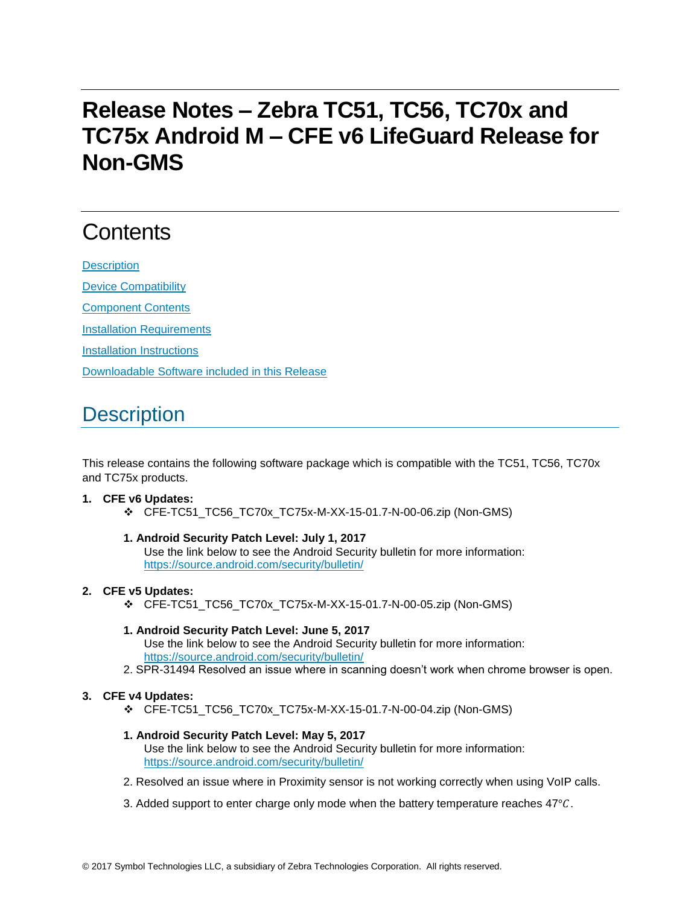## **Release Notes – Zebra TC51, TC56, TC70x and TC75x Android M – CFE v6 LifeGuard Release for Non-GMS**

# **Contents**

**[Description](#page-0-0)** [Device Compatibility](#page-1-0) [Component Contents](#page-2-0) [Installation Requirements](#page-2-1) [Installation Instructions](#page-2-2)

[Downloadable Software included in this Release](#page-3-0)

## <span id="page-0-0"></span>**Description**

This release contains the following software package which is compatible with the TC51, TC56, TC70x and TC75x products.

#### **1. CFE v6 Updates:**

CFE-TC51\_TC56\_TC70x\_TC75x-M-XX-15-01.7-N-00-06.zip (Non-GMS)

#### **1. Android Security Patch Level: July 1, 2017**

Use the link below to see the Android Security bulletin for more information: <https://source.android.com/security/bulletin/>

#### **2. CFE v5 Updates:**

CFE-TC51\_TC56\_TC70x\_TC75x-M-XX-15-01.7-N-00-05.zip (Non-GMS)

### **1. Android Security Patch Level: June 5, 2017**

Use the link below to see the Android Security bulletin for more information: <https://source.android.com/security/bulletin/>

2. SPR-31494 Resolved an issue where in scanning doesn't work when chrome browser is open.

#### **3. CFE v4 Updates:**

CFE-TC51\_TC56\_TC70x\_TC75x-M-XX-15-01.7-N-00-04.zip (Non-GMS)

#### **1. Android Security Patch Level: May 5, 2017**

Use the link below to see the Android Security bulletin for more information: <https://source.android.com/security/bulletin/>

- 2. Resolved an issue where in Proximity sensor is not working correctly when using VoIP calls.
- 3. Added support to enter charge only mode when the battery temperature reaches  $47^{\circ}$ C.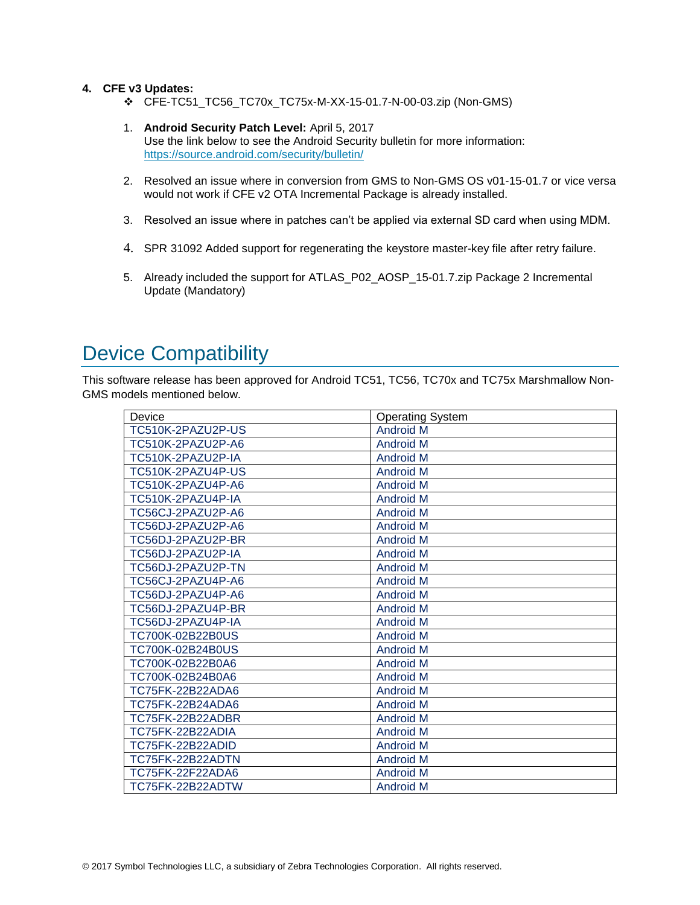#### **4. CFE v3 Updates:**

- CFE-TC51\_TC56\_TC70x\_TC75x-M-XX-15-01.7-N-00-03.zip (Non-GMS)
- 1. **Android Security Patch Level:** April 5, 2017 Use the link below to see the Android Security bulletin for more information: <https://source.android.com/security/bulletin/>
- 2. Resolved an issue where in conversion from GMS to Non-GMS OS v01-15-01.7 or vice versa would not work if CFE v2 OTA Incremental Package is already installed.
- 3. Resolved an issue where in patches can't be applied via external SD card when using MDM.
- 4. SPR 31092 Added support for regenerating the keystore master-key file after retry failure.
- 5. Already included the support for ATLAS\_P02\_AOSP\_15-01.7.zip Package 2 Incremental Update (Mandatory)

### <span id="page-1-0"></span>Device Compatibility

This software release has been approved for Android TC51, TC56, TC70x and TC75x Marshmallow Non-GMS models mentioned below.

| Device            | <b>Operating System</b> |
|-------------------|-------------------------|
| TC510K-2PAZU2P-US | <b>Android M</b>        |
| TC510K-2PAZU2P-A6 | <b>Android M</b>        |
| TC510K-2PAZU2P-IA | <b>Android M</b>        |
| TC510K-2PAZU4P-US | <b>Android M</b>        |
| TC510K-2PAZU4P-A6 | <b>Android M</b>        |
| TC510K-2PAZU4P-IA | <b>Android M</b>        |
| TC56CJ-2PAZU2P-A6 | <b>Android M</b>        |
| TC56DJ-2PAZU2P-A6 | <b>Android M</b>        |
| TC56DJ-2PAZU2P-BR | <b>Android M</b>        |
| TC56DJ-2PAZU2P-IA | <b>Android M</b>        |
| TC56DJ-2PAZU2P-TN | <b>Android M</b>        |
| TC56CJ-2PAZU4P-A6 | <b>Android M</b>        |
| TC56DJ-2PAZU4P-A6 | <b>Android M</b>        |
| TC56DJ-2PAZU4P-BR | <b>Android M</b>        |
| TC56DJ-2PAZU4P-IA | <b>Android M</b>        |
| TC700K-02B22B0US  | <b>Android M</b>        |
| TC700K-02B24B0US  | <b>Android M</b>        |
| TC700K-02B22B0A6  | <b>Android M</b>        |
| TC700K-02B24B0A6  | <b>Android M</b>        |
| TC75FK-22B22ADA6  | <b>Android M</b>        |
| TC75FK-22B24ADA6  | <b>Android M</b>        |
| TC75FK-22B22ADBR  | <b>Android M</b>        |
| TC75FK-22B22ADIA  | <b>Android M</b>        |
| TC75FK-22B22ADID  | <b>Android M</b>        |
| TC75FK-22B22ADTN  | <b>Android M</b>        |
| TC75FK-22F22ADA6  | <b>Android M</b>        |
| TC75FK-22B22ADTW  | <b>Android M</b>        |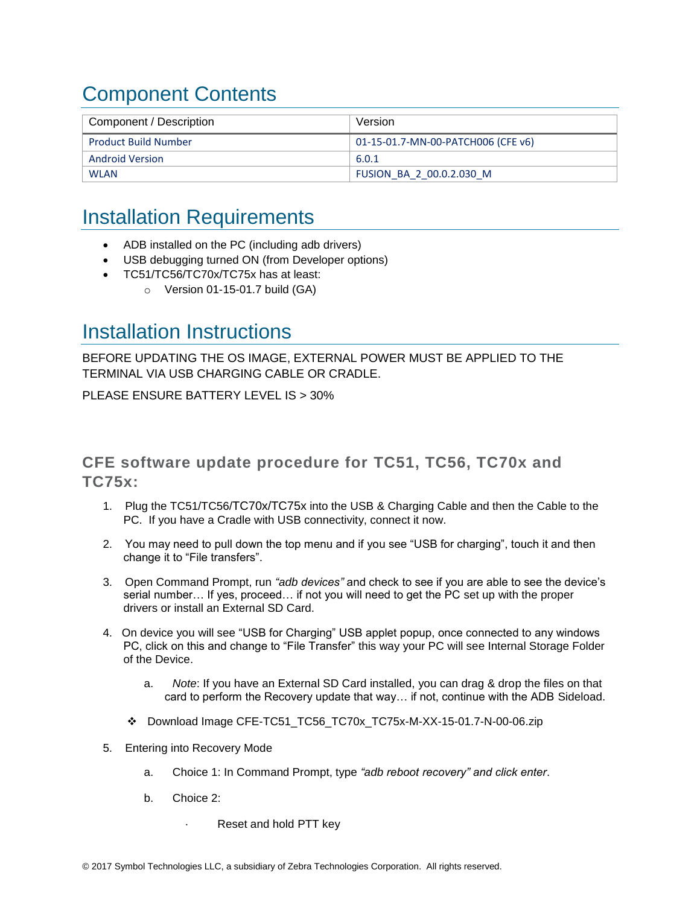## <span id="page-2-0"></span>Component Contents

| Component / Description     | Version                            |
|-----------------------------|------------------------------------|
| <b>Product Build Number</b> | 01-15-01.7-MN-00-PATCH006 (CFE v6) |
| Android Version             | 6.0.1                              |
| <b>WLAN</b>                 | FUSION BA 2 00.0.2.030 M           |

## <span id="page-2-1"></span>Installation Requirements

- ADB installed on the PC (including adb drivers)
- USB debugging turned ON (from Developer options)
- TC51/TC56/TC70x/TC75x has at least:
	- $\circ$  Version 01-15-01.7 build (GA)

### <span id="page-2-2"></span>Installation Instructions

BEFORE UPDATING THE OS IMAGE, EXTERNAL POWER MUST BE APPLIED TO THE TERMINAL VIA USB CHARGING CABLE OR CRADLE.

PLEASE ENSURE BATTERY LEVEL IS > 30%

CFE software update procedure for TC51, TC56, TC70x and TC75x:

- 1. Plug the TC51/TC56/TC70x/TC75x into the USB & Charging Cable and then the Cable to the PC. If you have a Cradle with USB connectivity, connect it now.
- 2. You may need to pull down the top menu and if you see "USB for charging", touch it and then change it to "File transfers".
- 3. Open Command Prompt, run *"adb devices"* and check to see if you are able to see the device's serial number… If yes, proceed… if not you will need to get the PC set up with the proper drivers or install an External SD Card.
- 4. On device you will see "USB for Charging" USB applet popup, once connected to any windows PC, click on this and change to "File Transfer" this way your PC will see Internal Storage Folder of the Device.
	- a. *Note*: If you have an External SD Card installed, you can drag & drop the files on that card to perform the Recovery update that way… if not, continue with the ADB Sideload.
	- Download Image CFE-TC51\_TC56\_TC70x\_TC75x-M-XX-15-01.7-N-00-06.zip
- 5. Entering into Recovery Mode
	- a. Choice 1: In Command Prompt, type *"adb reboot recovery" and click enter*.
	- b. Choice 2:
		- Reset and hold PTT key